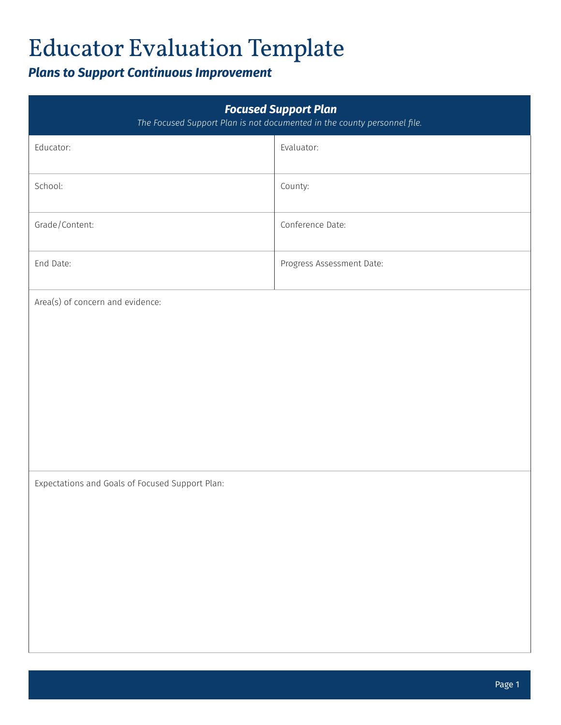## *Plans to Support Continuous Improvement*

| <b>Focused Support Plan</b><br>The Focused Support Plan is not documented in the county personnel file. |                           |  |
|---------------------------------------------------------------------------------------------------------|---------------------------|--|
| Educator:                                                                                               | Evaluator:                |  |
| School:                                                                                                 | County:                   |  |
| Grade/Content:                                                                                          | Conference Date:          |  |
| End Date:                                                                                               | Progress Assessment Date: |  |
| Area(s) of concern and evidence:                                                                        |                           |  |
|                                                                                                         |                           |  |
|                                                                                                         |                           |  |
| Expectations and Goals of Focused Support Plan:                                                         |                           |  |
|                                                                                                         |                           |  |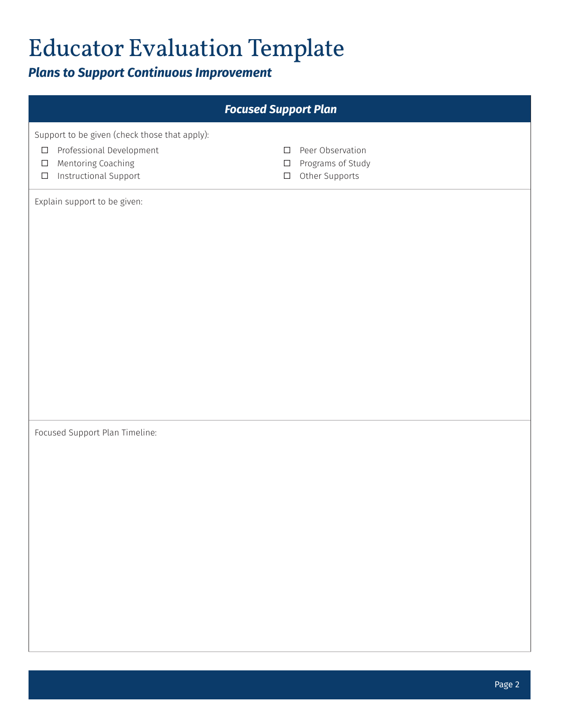## *Plans to Support Continuous Improvement*

| <b>Focused Support Plan</b>                                                                                                                            |                                                                                       |  |
|--------------------------------------------------------------------------------------------------------------------------------------------------------|---------------------------------------------------------------------------------------|--|
| Support to be given (check those that apply):<br>Professional Development<br>$\Box$<br>Mentoring Coaching<br>$\Box$<br>Instructional Support<br>$\Box$ | Peer Observation<br>$\Box$<br>Programs of Study<br>$\Box$<br>Other Supports<br>$\Box$ |  |
| Explain support to be given:                                                                                                                           |                                                                                       |  |
| Focused Support Plan Timeline:                                                                                                                         |                                                                                       |  |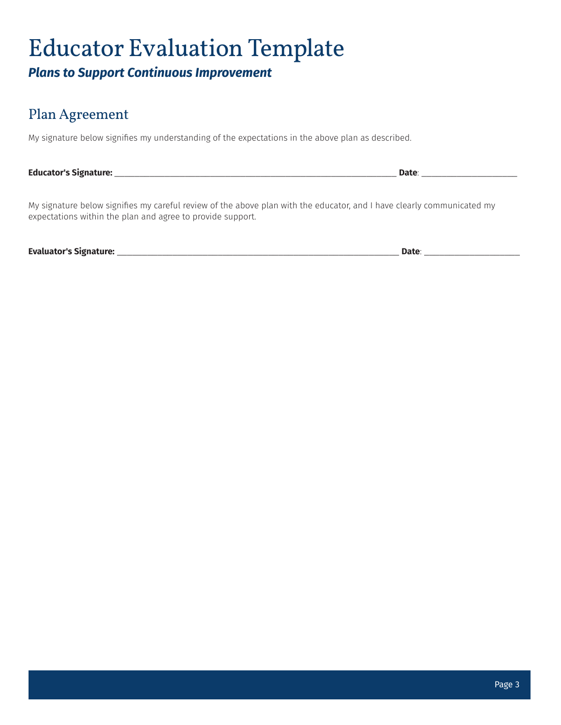#### *Plans to Support Continuous Improvement*

### Plan Agreement

My signature below signifies my understanding of the expectations in the above plan as described.

**Educator's Signature:** \_\_\_\_\_\_\_\_\_\_\_\_\_\_\_\_\_\_\_\_\_\_\_\_\_\_\_\_\_\_\_\_\_\_\_\_\_\_\_\_\_\_\_\_\_\_\_\_\_\_\_\_\_\_\_\_ **Date**: \_\_\_\_\_\_\_\_\_\_\_\_\_\_\_\_\_\_\_

My signature below signifies my careful review of the above plan with the educator, and I have clearly communicated my expectations within the plan and agree to provide support.

**Evaluator's Signature:** \_\_\_\_\_\_\_\_\_\_\_\_\_\_\_\_\_\_\_\_\_\_\_\_\_\_\_\_\_\_\_\_\_\_\_\_\_\_\_\_\_\_\_\_\_\_\_\_\_\_\_\_\_\_\_\_ **Date**: \_\_\_\_\_\_\_\_\_\_\_\_\_\_\_\_\_\_\_